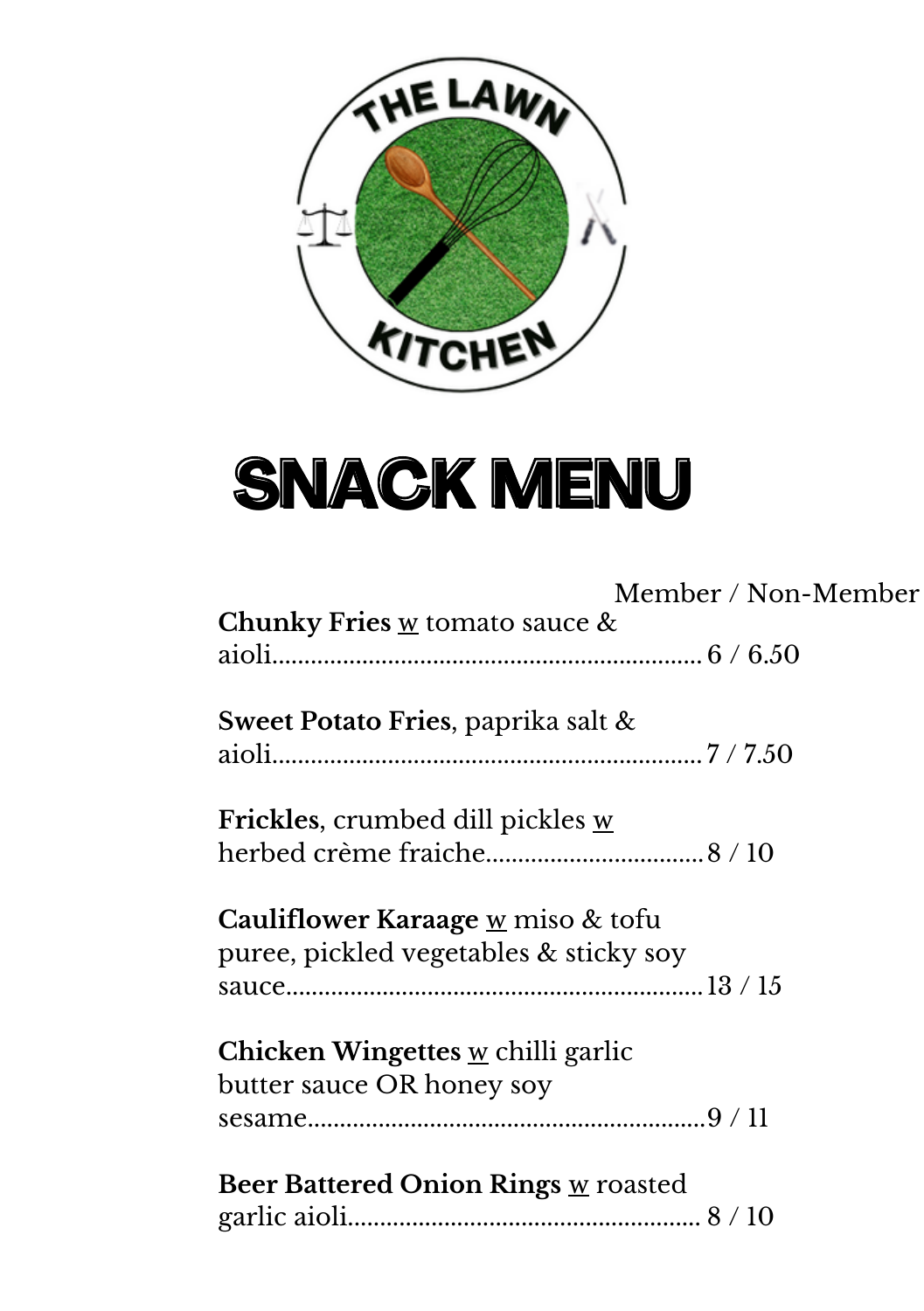

## **SNACK MENU**

|                                                     | Member / Non-Member |
|-----------------------------------------------------|---------------------|
| Chunky Fries $\underline{w}$ tomato sauce $\&$      |                     |
|                                                     |                     |
| Sweet Potato Fries, paprika salt $\&$               |                     |
|                                                     |                     |
|                                                     |                     |
| Frickles, crumbed dill pickles w                    |                     |
|                                                     |                     |
|                                                     |                     |
| <b>Cauliflower Karaage <u>w</u> miso &amp; tofu</b> |                     |
| puree, pickled vegetables & sticky soy              |                     |
|                                                     |                     |
| Chicken Wingettes $\underline{w}$ chilli garlic     |                     |
| butter sauce OR honey soy                           |                     |
|                                                     |                     |
|                                                     |                     |
| <b>Beer Battered Onion Rings w roasted</b>          |                     |
|                                                     |                     |